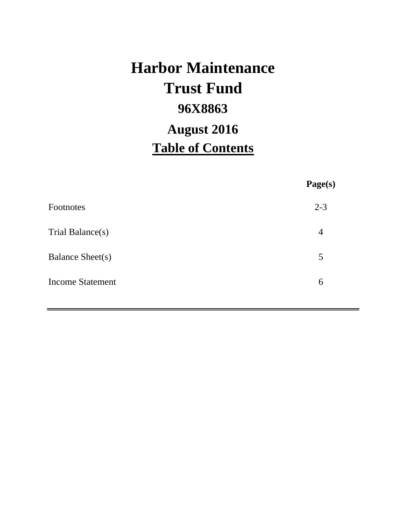# **Harbor Maintenance 96X8863 Table of Contents Trust Fund August 2016**

**Page(s)**

| $2 - 3$        |
|----------------|
| $\overline{4}$ |
| 5              |
| 6              |
|                |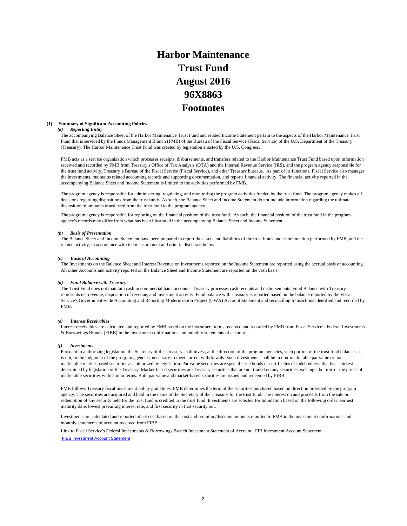## **Harbor Maintenance Trust Fund 96X8863 Footnotes August 2016**

#### **(1) Summary of Significant Accounting Policies**

#### *(a) Reporting Entity*

The accompanying Balance Sheet of the Harbor Maintenance Trust Fund and related Income Statement pertain to the aspects of the Harbor Maintenance Trust Fund that is serviced by the Funds Management Branch (FMB) of the Bureau of the Fiscal Service (Fiscal Service) of the U.S. Department of the Treasury (Treasury). The Harbor Maintenance Trust Fund was created by legislation enacted by the U.S. Congress.

FMB acts as a service organization which processes receipts, disbursements, and transfers related to the Harbor Maintenance Trust Fund based upon information received and recorded by FMB from Treasury's Office of Tax Analysis (OTA) and the Internal Revenue Service (IRS), and the program agency responsible for the trust fund activity, Treasury's Bureau of the Fiscal Service (Fiscal Service), and other Treasury bureaus. As part of its functions, Fiscal Service also manages the investments, maintains related accounting records and supporting documentation, and reports financial activity. The financial activity reported in the accompanying Balance Sheet and Income Statement is limited to the activities performed by FMB.

The program agency is responsible for administering, regulating, and monitoring the program activities funded by the trust fund. The program agency makes all decisions regarding dispositions from the trust funds. As such, the Balance Sheet and Income Statement do not include information regarding the ultimate disposition of amounts transferred from the trust fund to the program agency.

The program agency is responsible for reporting on the financial position of the trust fund. As such, the financial position of the trust fund in the program agency's records may differ from what has been illustrated in the accompanying Balance Sheet and Income Statement.

#### *(b) Basis of Presentation*

The Balance Sheet and Income Statement have been prepared to report the assets and liabilities of the trust funds under the function performed by FMB, and the related activity, in accordance with the measurement and criteria discussed below.

#### *(c) Basis of Accounting*

The Investments on the Balance Sheet and Interest Revenue on Investments reported on the Income Statement are reported using the accrual basis of accounting. All other Accounts and activity reported on the Balance Sheet and Income Statement are reported on the cash basis.

#### *(d) Fund Balance with Treasury*

The Trust Fund does not maintain cash in commercial bank accounts. Treasury processes cash receipts and disbursements. Fund Balance with Treasury represents net revenue, disposition of revenue, and investment activity. Fund balance with Treasury is reported based on the balance reported by the Fiscal Service's Government-wide Accounting and Reporting Modernization Project (GWA) Account Statement and reconciling transactions identified and recorded by FMB.

#### *(e) Interest Receivables*

Interest receivables are calculated and reported by FMB based on the investment terms received and recorded by FMB from Fiscal Service's Federal Investments & Borrowings Branch (FIBB) in the investment confirmations and monthly statements of account.

#### *(f) Investments*

Pursuant to authorizing legislation, the Secretary of the Treasury shall invest, at the direction of the program agencies, such portion of the trust fund balances as is not, in the judgment of the program agencies, necessary to meet current withdrawals. Such investments shall be in non-marketable par value or nonmarketable market-based securities as authorized by legislation. Par value securities are special issue bonds or certificates of indebtedness that bear interest determined by legislation or the Treasury. Market-based securities are Treasury securities that are not traded on any securities exchange, but mirror the prices of marketable securities with similar terms. Both par value and market-based securities are issued and redeemed by FIBB.

FMB follows Treasury fiscal investment policy guidelines. FMB determines the term of the securities purchased based on direction provided by the program agency. The securities are acquired and held in the name of the Secretary of the Treasury for the trust fund. The interest on and proceeds from the sale or redemption of any security held for the trust fund is credited to the trust fund. Investments are selected for liquidation based on the following order: earliest maturity date, lowest prevailing interest rate, and first security in first security out.

Investments are calculated and reported at net cost based on the cost and premium/discount amounts reported to FMB in the investment confirmations and monthly statements of account received from FIBB.

Link to Fiscal Service's Federal Investments & Borrowings Branch Investment Statement of Account: FIB Investment Account Statement FIBB Investment Account Statement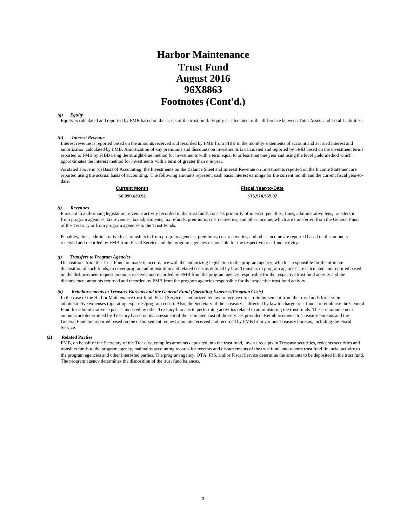### **Harbor Maintenance Trust Fund 96X8863 Footnotes (Cont'd.) August 2016**

#### *(g) Equity*

Equity is calculated and reported by FMB based on the assets of the trust fund. Equity is calculated as the difference between Total Assets and Total Liabilities.

#### *(h) Interest Revenue*

Interest revenue is reported based on the amounts received and recorded by FMB from FIBB in the monthly statements of account and accrued interest and amortization calculated by FMB. Amortization of any premiums and discounts on investments is calculated and reported by FMB based on the investment terms reported to FMB by FIBB using the straight-line method for investments with a term equal to or less than one year and using the level yield method which approximates the interest method for investments with a term of greater than one year.

As stated above in (c) Basis of Accounting, the Investments on the Balance Sheet and Interest Revenue on Investments reported on the Income Statement are reported using the accrual basis of accounting. The following amounts represent cash basis interest earnings for the current month and the current fiscal year-todate.

**Current Month Fiscal Year-to-Date \$6,890,639.52 \$75,574,565.07** 

#### *(i) Revenues*

Pursuant to authorizing legislation, revenue activity recorded in the trust funds consists primarily of interest, penalties, fines, administrative fees, transfers in from program agencies, tax revenues, tax adjustments, tax refunds, premiums, cost recoveries, and other income, which are transferred from the General Fund of the Treasury or from program agencies to the Trust Funds.

Penalties, fines, administrative fees, transfers in from program agencies, premiums, cost recoveries, and other income are reported based on the amounts received and recorded by FMB from Fiscal Service and the program agencies responsible for the respective trust fund activity.

#### *(j) Transfers to Program Agencies*

Dispositions from the Trust Fund are made in accordance with the authorizing legislation to the program agency, which is responsible for the ultimate disposition of such funds, to cover program administration and related costs as defined by law. Transfers to program agencies are calculated and reported based on the disbursement request amounts received and recorded by FMB from the program agency responsible for the respective trust fund activity and the disbursement amounts returned and recorded by FMB from the program agencies responsible for the respective trust fund activity.

#### *(k) Reimbursements to Treasury Bureaus and the General Fund (Operating Expenses/Program Costs)*

In the case of the Harbor Maintenance trust fund, Fiscal Service is authorized by law to receive direct reimbursement from the trust funds for certain administrative expenses (operating expenses/program costs). Also, the Secretary of the Treasury is directed by law to charge trust funds to reimburse the General Fund for administrative expenses incurred by other Treasury bureaus in performing activities related to administering the trust funds. These reimbursement amounts are determined by Treasury based on its assessment of the estimated cost of the services provided. Reimbursements to Treasury bureaus and the General Fund are reported based on the disbursement request amounts received and recorded by FMB from various Treasury bureaus, including the Fiscal Service.

#### **(2) Related Parties**

FMB, on behalf of the Secretary of the Treasury, compiles amounts deposited into the trust fund, invests receipts in Treasury securities, redeems securities and transfers funds to the program agency, maintains accounting records for receipts and disbursements of the trust fund, and reports trust fund financial activity to the program agencies and other interested parties. The program agency, OTA, IRS, and/or Fiscal Service determine the amounts to be deposited in the trust fund. The program agency determines the disposition of the trust fund balances.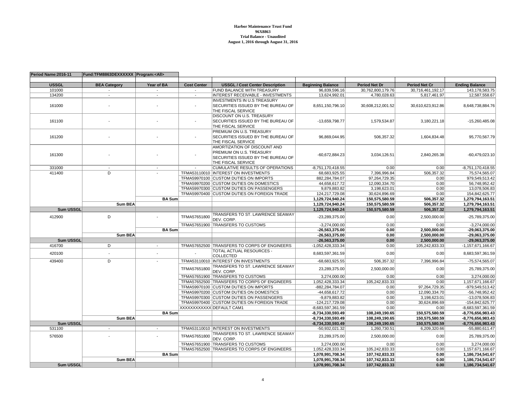#### **Harbor Maintenance Trust Fund 96X8863 Trial Balance - UnauditedAugust 1, 2016 through August 31, 2016**

| Period Name: 2016-11 | Fund:TFM8863DEXXXXXX Program: <all></all> |                          |                          |                                                |                                          |                                   |                                  |                                        |
|----------------------|-------------------------------------------|--------------------------|--------------------------|------------------------------------------------|------------------------------------------|-----------------------------------|----------------------------------|----------------------------------------|
| <b>USSGL</b>         | <b>BEA Category</b>                       | Year of BA               | <b>Cost Center</b>       | <b>USSGL / Cost Center Description</b>         | <b>Beginning Balance</b>                 | <b>Period Net Dr</b>              | <b>Period Net Cr</b>             | <b>Ending Balance</b>                  |
| 101000               |                                           | $\overline{\phantom{a}}$ | $\overline{\phantom{a}}$ | FUND BALANCE WITH TREASURY                     | 96,839,596.16                            |                                   | 30,716,461,192.17                | 143, 178, 583. 75                      |
| 134200               | $\sim$                                    | $\overline{\phantom{a}}$ |                          | <b>INTEREST RECEIVABLE - INVESTMENTS</b>       | 13,624,992.01                            | 30,762,800,179.76<br>4,780,028.63 | 5,817,461.97                     | 12,587,558.67                          |
|                      |                                           |                          |                          | <b>INVESTMENTS IN U.S TREASURY</b>             |                                          |                                   |                                  |                                        |
| 161000               |                                           |                          | $\overline{\phantom{a}}$ | SECURITIES ISSUED BY THE BUREAU OF             | 8,651,150,796.10                         | 30,608,212,001.52                 | 30,610,623,912.86                | 8,648,738,884.76                       |
|                      |                                           |                          |                          | THE FISCAL SERVICE                             |                                          |                                   |                                  |                                        |
|                      |                                           |                          |                          | DISCOUNT ON U.S. TREASURY                      |                                          |                                   |                                  |                                        |
| 161100               |                                           |                          | $\overline{a}$           | SECURITIES ISSUED BY THE BUREAU OF             | -13,659,798.77                           | 1,579,534.87                      | 3,180,221.18                     | $-15,260,485.08$                       |
|                      |                                           |                          |                          | THE FISCAL SERVICE                             |                                          |                                   |                                  |                                        |
|                      |                                           |                          |                          | PREMIUM ON U.S. TREASURY                       |                                          |                                   |                                  |                                        |
| 161200               |                                           |                          | $\overline{\phantom{a}}$ | SECURITIES ISSUED BY THE BUREAU OF             | 96,869,044.95                            | 506,357.32                        | 1,604,834.48                     | 95,770,567.79                          |
|                      |                                           |                          |                          | THE FISCAL SERVICE                             |                                          |                                   |                                  |                                        |
|                      |                                           |                          |                          | AMORTIZATION OF DISCOUNT AND                   |                                          |                                   |                                  |                                        |
| 161300               |                                           |                          |                          | PREMIUM ON U.S. TREASURY                       | -60,672,884.23                           |                                   | 2,840,265.38                     | $-60,479,023.10$                       |
|                      |                                           |                          |                          | SECURITIES ISSUED BY THE BUREAU OF             |                                          | 3,034,126.51                      |                                  |                                        |
|                      |                                           |                          |                          | THE FISCAL SERVICE                             |                                          |                                   |                                  |                                        |
| 331000               |                                           |                          |                          | <b>CUMULATIVE RESULTS OF OPERATIONS</b>        | $-8,751,170,418.55$                      | 0.00                              | 0.00                             | $-8,751,170,418.55$                    |
| 411400               | D                                         |                          |                          | TFMA53110010  INTEREST ON INVESTMENTS          | 68,683,925.55                            | 7,396,996.84                      | 506,357.32                       | 75,574,565.07                          |
|                      |                                           |                          |                          | TFMA59970100 CUSTOM DUTIES ON IMPORTS          | 882,284,784.07                           | 97,264,729.35                     | 0.00                             | 979,549,513.42                         |
|                      |                                           |                          |                          | TFMA59970200 CUSTOM DUTIES ON DOMESTICS        | 44,658,617.72                            | 12,090,334.70                     | 0.00                             | 56,748,952.42                          |
|                      |                                           |                          |                          | TFMA59970300 CUSTOM DUTIES ON PASSENGERS       | 9,879,883.82                             | 3,198,623.01                      | 0.00                             | 13,078,506.83                          |
|                      |                                           |                          |                          | TFMA59970400 CUSTOM DUTIES ON FOREIGN TRADE    | 124,217,729.08                           | 30,624,896.69                     | 0.00                             | 154,842,625.77                         |
|                      |                                           | <b>BA Sum</b>            |                          |                                                | 1,129,724,940.24                         | 150,575,580.59                    | 506,357.32                       | 1,279,794,163.51                       |
|                      | <b>Sum BEA</b>                            |                          |                          |                                                | 1,129,724,940.24                         | 150,575,580.59                    | 506,357.32                       | 1,279,794,163.51                       |
| Sum USSGL            |                                           |                          |                          |                                                | 1,129,724,940.24                         | 150,575,580.59                    | 506,357.32                       | 1,279,794,163.51                       |
| 412900               | D                                         |                          | TFMA57651800             | TRANSFERS TO ST. LAWRENCE SEAWAY<br>DEV. CORP. | -23,289,375.00                           | 0.00                              | 2,500,000.00                     | -25,789,375.00                         |
|                      |                                           |                          |                          | TFMA57651900 TRANSFERS TO CUSTOMS              | $-3,274,000.00$                          | 0.00                              | 0.00                             | $-3,274,000.00$                        |
|                      |                                           | <b>BA Sum</b>            |                          |                                                | $-26,563,375.00$                         | 0.00                              | 2,500,000.00                     | -29.063.375.00                         |
|                      | <b>Sum BEA</b>                            |                          |                          |                                                | $-26,563,375.00$                         | 0.00                              | 2.500.000.00                     | $-29.063.375.00$                       |
| Sum USSGL            |                                           |                          |                          |                                                | $-26,563,375.00$                         | 0.00                              | 2,500,000.00                     | $-29,063,375.00$                       |
| 416700               | D                                         | $\overline{\phantom{a}}$ |                          | TFMA57652500 TRANSFERS TO CORPS OF ENGINEERS   | -1,052,428,333.34                        | 0.00                              | 105,242,833.33                   | -1,157,671,166.67                      |
|                      |                                           |                          |                          | TOTAL ACTUAL RESOURCES -                       |                                          |                                   |                                  |                                        |
| 420100               |                                           |                          |                          | <b>COLLECTED</b>                               | 8,683,597,361.59                         | 0.00                              | 0.00                             | 8,683,597,361.59                       |
| 439400               | $\overline{D}$                            |                          |                          | TFMA53110010  INTEREST ON INVESTMENTS          | $-68,683,925.55$                         | 506,357.32                        | 7,396,996.84                     | -75,574,565.07                         |
|                      |                                           |                          | TFMA57651800             | TRANSFERS TO ST. LAWRENCE SEAWAY               | 23,289,375.00                            | 2,500,000.00                      | 0.00                             | 25,789,375.00                          |
|                      |                                           |                          |                          | DEV. CORP.                                     |                                          |                                   |                                  |                                        |
|                      |                                           |                          |                          | TFMA57651900 TRANSFERS TO CUSTOMS              | 3.274.000.00                             | 0.00                              | 0.00                             | 3.274.000.00                           |
|                      |                                           |                          |                          | TFMA57652500 TRANSFERS TO CORPS OF ENGINEERS   | 1,052,428,333.34                         | 105,242,833.33                    | 0.00                             | 1,157,671,166.67                       |
|                      |                                           |                          |                          | TFMA59970100 CUSTOM DUTIES ON IMPORTS          | -882,284,784.07                          | 0.00                              | 97,264,729.35                    | -979,549,513.42                        |
|                      |                                           |                          |                          | TFMA59970200 CUSTOM DUTIES ON DOMESTICS        | $-44,658,617.72$                         | 0.00                              | 12,090,334.70                    | -56,748,952.42                         |
|                      |                                           |                          |                          | TFMA59970300 CUSTOM DUTIES ON PASSENGERS       | -9,879,883.82                            | 0.00                              | 3,198,623.01                     | -13,078,506.83                         |
|                      |                                           |                          |                          | TFMA59970400 CUSTOM DUTIES ON FOREIGN TRADE    | -124,217,729.08                          | 0.00                              | 30,624,896.69                    | -154,842,625.77                        |
|                      |                                           |                          |                          | XXXXXXXXXXX DEFAULT CAM1                       | $-8,683,597,361.59$                      | 0.00                              | 0.00                             | -8,683,597,361.59                      |
|                      |                                           | <b>BA Sum</b>            |                          |                                                | $-8,734,330,593.49$                      | 108,249,190.65                    | 150,575,580.59                   | $-8,776,656,983.43$                    |
| <b>Sum USSGL</b>     | <b>Sum BEA</b>                            |                          |                          |                                                | -8,734,330,593.49<br>$-8,734,330,593.49$ | 108,249,190.65<br>108,249,190.65  | 150,575,580.59<br>150,575,580.59 | -8,776,656,983.43<br>-8,776,656,983.43 |
| 531100               | $\overline{\phantom{a}}$                  | $\overline{\phantom{a}}$ |                          | TFMA53110010  INTEREST ON INVESTMENTS          | $-50,932,021.32$                         | 1,260,730.51                      | 6,209,320.66                     | -55,880,611.47                         |
|                      |                                           |                          |                          | TRANSFERS TO ST. LAWRENCE SEAWAY               |                                          |                                   |                                  |                                        |
| 576500               |                                           |                          | TFMA57651800             | DEV. CORP.                                     | 23,289,375.00                            | 2,500,000.00                      | 0.00                             | 25,789,375.00                          |
|                      |                                           |                          |                          | TFMA57651900 TRANSFERS TO CUSTOMS              | 3,274,000.00                             | 0.00                              | 0.00                             | 3,274,000.00                           |
|                      |                                           |                          |                          | TFMA57652500 TRANSFERS TO CORPS OF ENGINEERS   | 1,052,428,333.34                         | 105,242,833.33                    | 0.00                             | 1.157.671.166.67                       |
|                      |                                           | <b>BA Sum</b>            |                          |                                                | 1,078,991,708.34                         | 107,742,833.33                    | 0.00                             | 1,186,734,541.67                       |
|                      | <b>Sum BEA</b>                            |                          |                          |                                                | 1,078,991,708.34                         | 107,742,833.33                    | 0.00                             | 1,186,734,541.67                       |
| Sum USSGL            |                                           |                          |                          |                                                | 1,078,991,708.34                         | 107,742,833.33                    | 0.00                             | 1,186,734,541.67                       |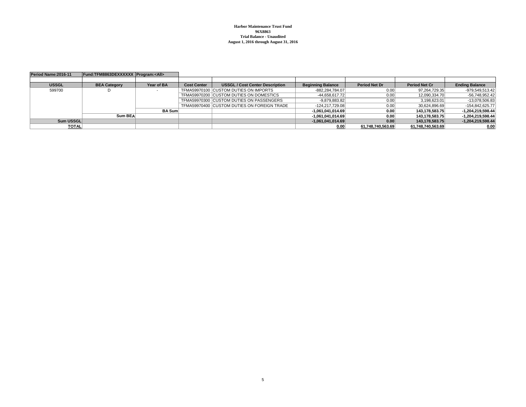**Harbor Maintenance Trust Fund 96X8863 Trial Balance - UnauditedAugust 1, 2016 through August 31, 2016**

| Period Name: 2016-11 | Fund:TFM8863DEXXXXXX Program: <all></all> |            |                    |                                             |                          |                      |                      |                       |
|----------------------|-------------------------------------------|------------|--------------------|---------------------------------------------|--------------------------|----------------------|----------------------|-----------------------|
|                      |                                           |            |                    |                                             |                          |                      |                      |                       |
| <b>USSGL</b>         | <b>BEA Category</b>                       | Year of BA | <b>Cost Center</b> | <b>USSGL / Cost Center Description</b>      | <b>Beginning Balance</b> | <b>Period Net Dr</b> | <b>Period Net Cr</b> | <b>Ending Balance</b> |
| 599700               |                                           |            |                    | TFMA59970100 CUSTOM DUTIES ON IMPORTS       | $-882,284,784.07$        | 0.00                 | 97,264,729.35        | -979,549,513.42       |
|                      |                                           |            |                    | TFMA59970200 CUSTOM DUTIES ON DOMESTICS     | -44.658.617.72           | 0.00                 | 12.090.334.70        | -56,748,952.42        |
|                      |                                           |            |                    | TFMA59970300 CUSTOM DUTIES ON PASSENGERS    | $-9,879,883.82$          | 0.00                 | 3,198,623.01         | -13,078,506.83        |
|                      |                                           |            |                    | TFMA59970400 CUSTOM DUTIES ON FOREIGN TRADE | $-124.217.729.08$        | 0.00                 | 30,624,896.69        | -154.842.625.77       |
|                      |                                           | BA Sum     |                    |                                             | $-1,061,041,014.69$      | 0.00                 | 143,178,583.75       | -1,204,219,598.44     |
|                      | Sum BEA                                   |            |                    |                                             | $-1,061,041,014.69$      | 0.00                 | 143.178.583.75       | -1,204,219,598.44     |
| Sum USSGL            |                                           |            |                    |                                             | $-1,061,041,014.69$      | 0.00                 | 143,178,583.75       | -1,204,219,598.44     |
| <b>TOTAL</b>         |                                           |            |                    |                                             | 0.00                     | 61.748.740.563.69    | 61,748,740,563.69    | 0.00                  |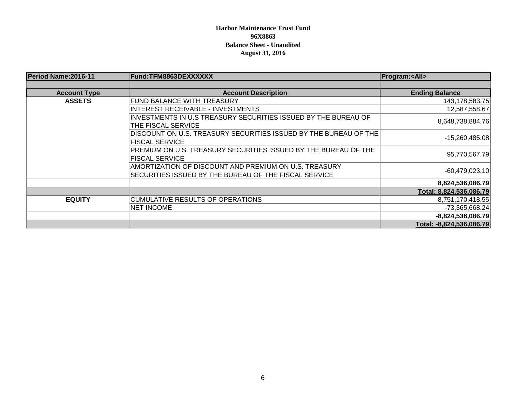### **Harbor Maintenance Trust Fund 96X8863 Balance Sheet - Unaudited August 31, 2016**

| Period Name: 2016-11 | Fund:TFM8863DEXXXXXX                                             | <b>Program:<all></all></b> |
|----------------------|------------------------------------------------------------------|----------------------------|
|                      |                                                                  |                            |
| <b>Account Type</b>  | <b>Account Description</b>                                       | <b>Ending Balance</b>      |
| <b>ASSETS</b>        | <b>FUND BALANCE WITH TREASURY</b>                                | 143,178,583.75             |
|                      | <b>INTEREST RECEIVABLE - INVESTMENTS</b>                         | 12,587,558.67              |
|                      | INVESTMENTS IN U.S TREASURY SECURITIES ISSUED BY THE BUREAU OF   |                            |
|                      | THE FISCAL SERVICE                                               | 8,648,738,884.76           |
|                      | DISCOUNT ON U.S. TREASURY SECURITIES ISSUED BY THE BUREAU OF THE |                            |
|                      | <b>FISCAL SERVICE</b>                                            | $-15,260,485.08$           |
|                      | PREMIUM ON U.S. TREASURY SECURITIES ISSUED BY THE BUREAU OF THE  |                            |
|                      | <b>FISCAL SERVICE</b>                                            | 95,770,567.79              |
|                      | AMORTIZATION OF DISCOUNT AND PREMIUM ON U.S. TREASURY            |                            |
|                      | SECURITIES ISSUED BY THE BUREAU OF THE FISCAL SERVICE            | $-60,479,023.10$           |
|                      |                                                                  | 8,824,536,086.79           |
|                      |                                                                  | Total: 8,824,536,086.79    |
| <b>EQUITY</b>        | <b>CUMULATIVE RESULTS OF OPERATIONS</b>                          | $-8,751,170,418.55$        |
|                      | <b>NET INCOME</b>                                                | $-73,365,668.24$           |
|                      |                                                                  | $-8,824,536,086.79$        |
|                      |                                                                  | Total: -8,824,536,086.79   |